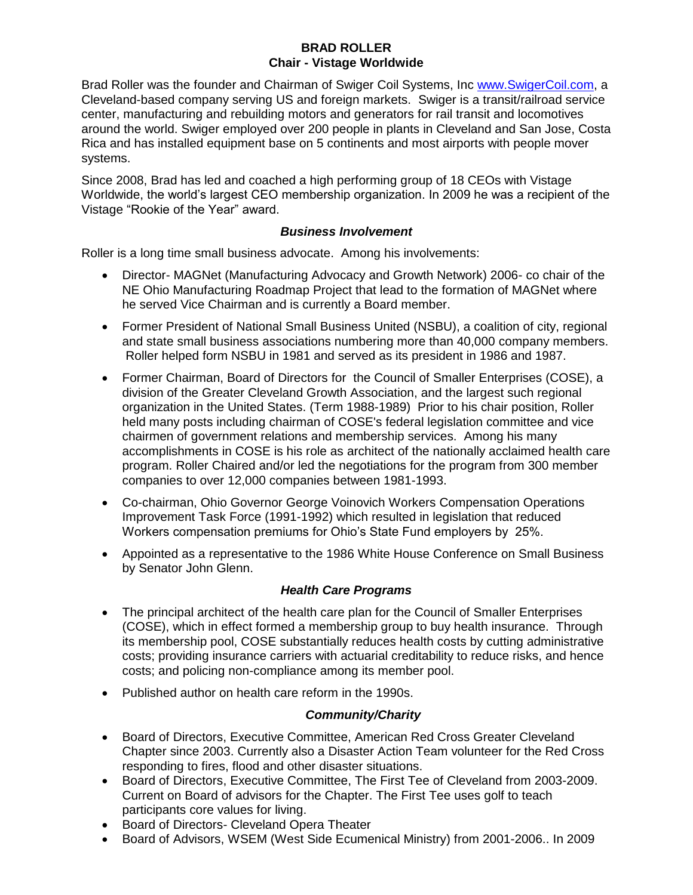#### **BRAD ROLLER Chair - Vistage Worldwide**

Brad Roller was the founder and Chairman of Swiger Coil Systems, Inc [www.SwigerCoil.com,](http://www.swigercoil.com/) a Cleveland-based company serving US and foreign markets. Swiger is a transit/railroad service center, manufacturing and rebuilding motors and generators for rail transit and locomotives around the world. Swiger employed over 200 people in plants in Cleveland and San Jose, Costa Rica and has installed equipment base on 5 continents and most airports with people mover systems.

Since 2008, Brad has led and coached a high performing group of 18 CEOs with Vistage Worldwide, the world's largest CEO membership organization. In 2009 he was a recipient of the Vistage "Rookie of the Year" award.

#### *Business Involvement*

Roller is a long time small business advocate. Among his involvements:

- Director- MAGNet (Manufacturing Advocacy and Growth Network) 2006- co chair of the NE Ohio Manufacturing Roadmap Project that lead to the formation of MAGNet where he served Vice Chairman and is currently a Board member.
- Former President of National Small Business United (NSBU), a coalition of city, regional and state small business associations numbering more than 40,000 company members. Roller helped form NSBU in 1981 and served as its president in 1986 and 1987.
- Former Chairman, Board of Directors for the Council of Smaller Enterprises (COSE), a division of the Greater Cleveland Growth Association, and the largest such regional organization in the United States. (Term 1988-1989) Prior to his chair position, Roller held many posts including chairman of COSE's federal legislation committee and vice chairmen of government relations and membership services. Among his many accomplishments in COSE is his role as architect of the nationally acclaimed health care program. Roller Chaired and/or led the negotiations for the program from 300 member companies to over 12,000 companies between 1981-1993.
- Co-chairman, Ohio Governor George Voinovich Workers Compensation Operations Improvement Task Force (1991-1992) which resulted in legislation that reduced Workers compensation premiums for Ohio's State Fund employers by 25%.
- Appointed as a representative to the 1986 White House Conference on Small Business by Senator John Glenn.

# *Health Care Programs*

- The principal architect of the health care plan for the Council of Smaller Enterprises (COSE), which in effect formed a membership group to buy health insurance. Through its membership pool, COSE substantially reduces health costs by cutting administrative costs; providing insurance carriers with actuarial creditability to reduce risks, and hence costs; and policing non-compliance among its member pool.
- Published author on health care reform in the 1990s.

# *Community/Charity*

- Board of Directors, Executive Committee, American Red Cross Greater Cleveland Chapter since 2003. Currently also a Disaster Action Team volunteer for the Red Cross responding to fires, flood and other disaster situations.
- Board of Directors, Executive Committee, The First Tee of Cleveland from 2003-2009. Current on Board of advisors for the Chapter. The First Tee uses golf to teach participants core values for living.
- Board of Directors- Cleveland Opera Theater
- Board of Advisors, WSEM (West Side Ecumenical Ministry) from 2001-2006.. In 2009